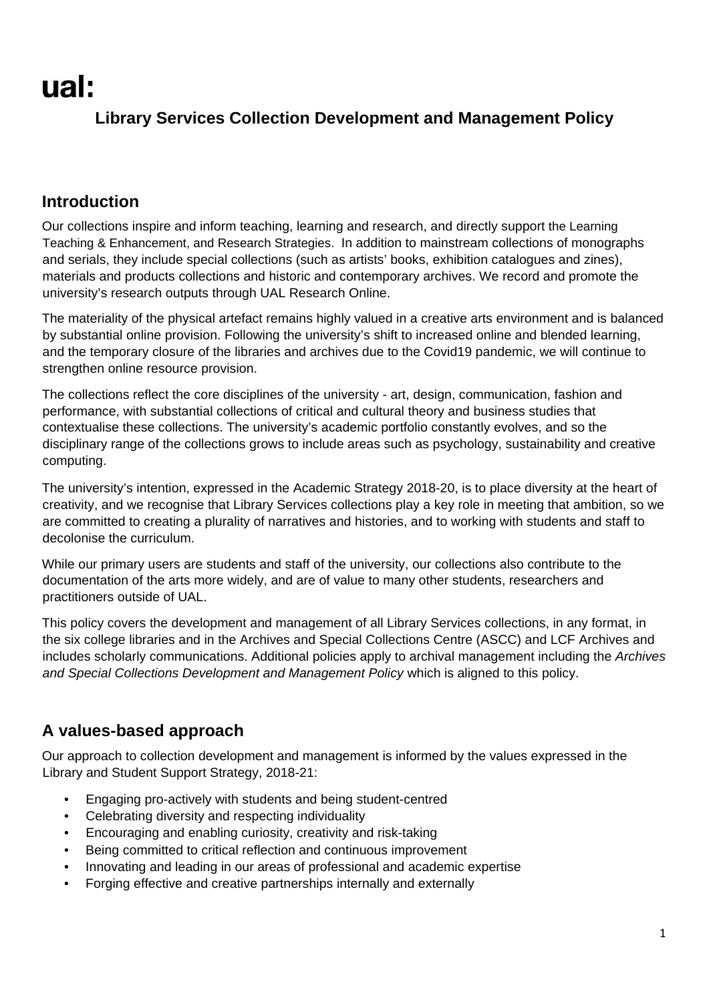# **Library Services Collection Development and Management Policy**

# **Introduction**

Our collections inspire and inform teaching, learning and research, and directly support the Learning Teaching & Enhancement, and Research Strategies. In addition to mainstream collections of monographs and serials, they include special collections (such as artists' books, exhibition catalogues and zines), materials and products collections and historic and contemporary archives. We record and promote the university's research outputs through UAL Research Online.

The materiality of the physical artefact remains highly valued in a creative arts environment and is balanced by substantial online provision. Following the university's shift to increased online and blended learning, and the temporary closure of the libraries and archives due to the Covid19 pandemic, we will continue to strengthen online resource provision.

The collections reflect the core disciplines of the university - art, design, communication, fashion and performance, with substantial collections of critical and cultural theory and business studies that contextualise these collections. The university's academic portfolio constantly evolves, and so the disciplinary range of the collections grows to include areas such as psychology, sustainability and creative computing.

The university's intention, expressed in the Academic Strategy 2018-20, is to place diversity at the heart of creativity, and we recognise that Library Services collections play a key role in meeting that ambition, so we are committed to creating a plurality of narratives and histories, and to working with students and staff to decolonise the curriculum.

While our primary users are students and staff of the university, our collections also contribute to the documentation of the arts more widely, and are of value to many other students, researchers and practitioners outside of UAL.

This policy covers the development and management of all Library Services collections, in any format, in the six college libraries and in the Archives and Special Collections Centre (ASCC) and LCF Archives and includes scholarly communications. Additional policies apply to archival management including the *Archives and Special Collections Development and Management Policy* which is aligned to this policy.

# **A values-based approach**

Our approach to collection development and management is informed by the values expressed in the Library and Student Support Strategy, 2018-21:

- Engaging pro-actively with students and being student-centred
- Celebrating diversity and respecting individuality
- Encouraging and enabling curiosity, creativity and risk-taking
- Being committed to critical reflection and continuous improvement
- Innovating and leading in our areas of professional and academic expertise
- Forging effective and creative partnerships internally and externally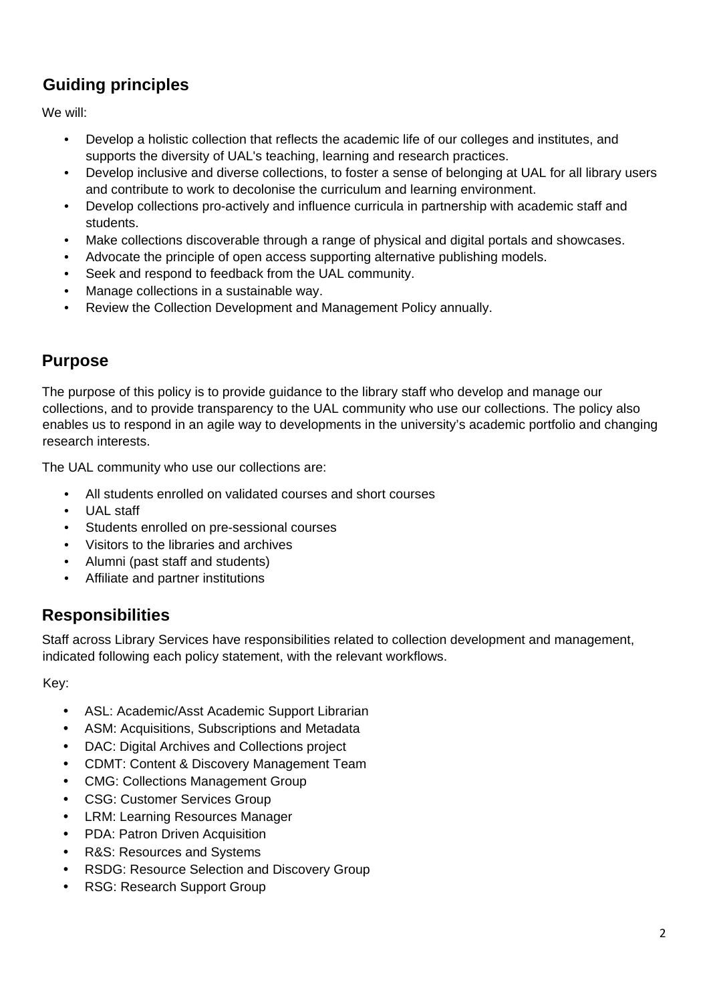# **Guiding principles**

We will:

- Develop a holistic collection that reflects the academic life of our colleges and institutes, and supports the diversity of UAL's teaching, learning and research practices.
- Develop inclusive and diverse collections, to foster a sense of belonging at UAL for all library users and contribute to work to decolonise the curriculum and learning environment.
- Develop collections pro-actively and influence curricula in partnership with academic staff and students.
- Make collections discoverable through a range of physical and digital portals and showcases.
- Advocate the principle of open access supporting alternative publishing models.
- Seek and respond to feedback from the UAL community.
- Manage collections in a sustainable way.
- Review the Collection Development and Management Policy annually.

# **Purpose**

The purpose of this policy is to provide guidance to the library staff who develop and manage our collections, and to provide transparency to the UAL community who use our collections. The policy also enables us to respond in an agile way to developments in the university's academic portfolio and changing research interests.

The UAL community who use our collections are:

- All students enrolled on validated courses and short courses
- UAL staff
- Students enrolled on pre-sessional courses
- Visitors to the libraries and archives
- Alumni (past staff and students)
- Affiliate and partner institutions

# **Responsibilities**

Staff across Library Services have responsibilities related to collection development and management, indicated following each policy statement, with the relevant workflows.

Key:

- ASL: Academic/Asst Academic Support Librarian
- ASM: Acquisitions, Subscriptions and Metadata
- DAC: Digital Archives and Collections project
- CDMT: Content & Discovery Management Team
- CMG: Collections Management Group
- CSG: Customer Services Group
- LRM: Learning Resources Manager
- PDA: Patron Driven Acquisition
- R&S: Resources and Systems
- RSDG: Resource Selection and Discovery Group
- RSG: Research Support Group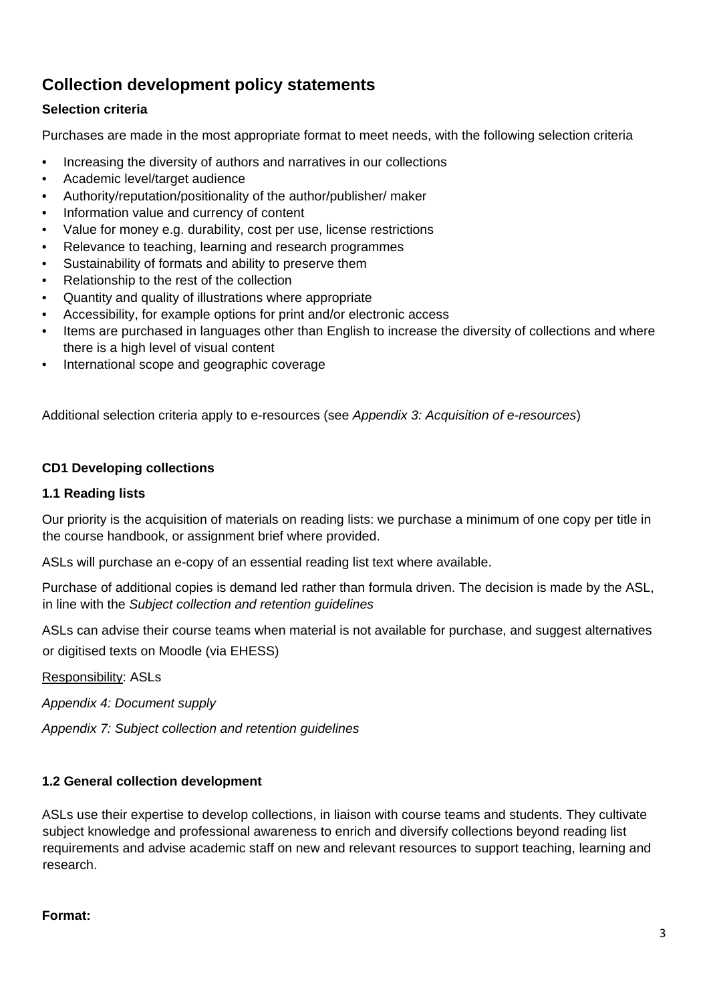# **Collection development policy statements**

## **Selection criteria**

Purchases are made in the most appropriate format to meet needs, with the following selection criteria

- Increasing the diversity of authors and narratives in our collections
- Academic level/target audience
- Authority/reputation/positionality of the author/publisher/ maker
- Information value and currency of content
- Value for money e.g. durability, cost per use, license restrictions
- Relevance to teaching, learning and research programmes
- Sustainability of formats and ability to preserve them
- Relationship to the rest of the collection
- Quantity and quality of illustrations where appropriate
- Accessibility, for example options for print and/or electronic access
- Items are purchased in languages other than English to increase the diversity of collections and where there is a high level of visual content
- International scope and geographic coverage

Additional selection criteria apply to e-resources (see *Appendix 3: Acquisition of e-resources*)

#### **CD1 Developing collections**

#### **1.1 Reading lists**

Our priority is the acquisition of materials on reading lists: we purchase a minimum of one copy per title in the course handbook, or assignment brief where provided.

ASLs will purchase an e-copy of an essential reading list text where available.

Purchase of additional copies is demand led rather than formula driven. The decision is made by the ASL, in line with the *Subject collection and retention guidelines*

ASLs can advise their course teams when material is not available for purchase, and suggest alternatives or digitised texts on Moodle (via EHESS)

Responsibility: ASLs

*Appendix 4: Document supply* 

*Appendix 7: Subject collection and retention guidelines* 

## **1.2 General collection development**

ASLs use their expertise to develop collections, in liaison with course teams and students. They cultivate subject knowledge and professional awareness to enrich and diversify collections beyond reading list requirements and advise academic staff on new and relevant resources to support teaching, learning and research.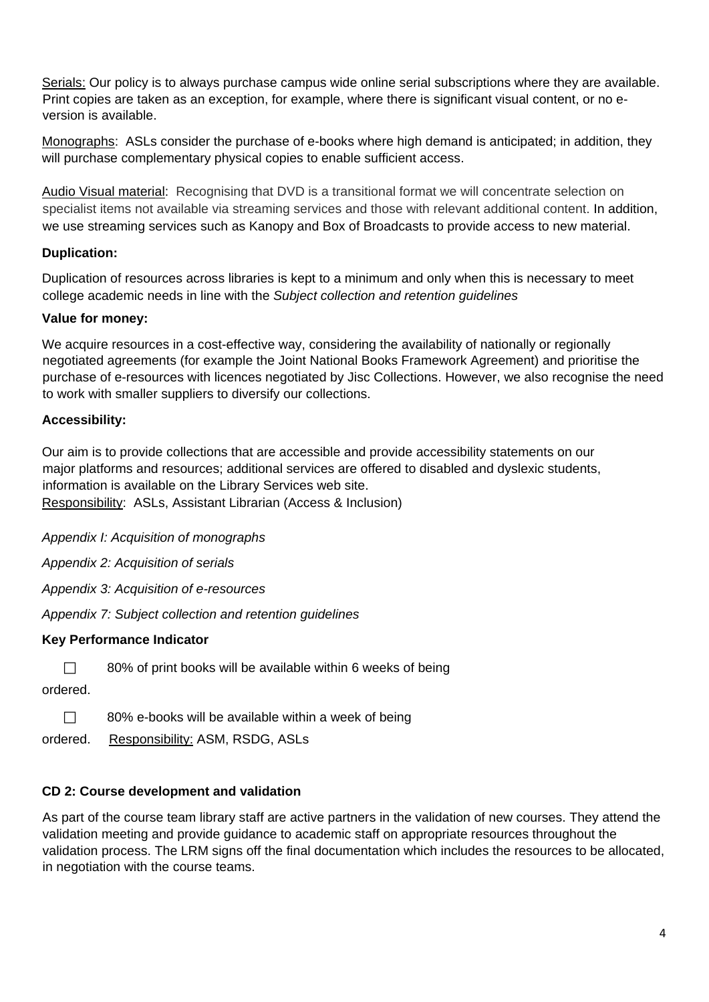Serials: Our policy is to always purchase campus wide online serial subscriptions where they are available. Print copies are taken as an exception, for example, where there is significant visual content, or no eversion is available.

Monographs: ASLs consider the purchase of e-books where high demand is anticipated; in addition, they will purchase complementary physical copies to enable sufficient access.

Audio Visual material: Recognising that DVD is a transitional format we will concentrate selection on specialist items not available via streaming services and those with relevant additional content. In addition, we use streaming services such as Kanopy and Box of Broadcasts to provide access to new material.

## **Duplication:**

Duplication of resources across libraries is kept to a minimum and only when this is necessary to meet college academic needs in line with the *Subject collection and retention guidelines*

## **Value for money:**

We acquire resources in a cost-effective way, considering the availability of nationally or regionally negotiated agreements (for example the Joint National Books Framework Agreement) and prioritise the purchase of e-resources with licences negotiated by Jisc Collections. However, we also recognise the need to work with smaller suppliers to diversify our collections.

## **Accessibility:**

Our aim is to provide collections that are accessible and provide accessibility statements on our major platforms and resources; additional services are offered to disabled and dyslexic students, information is available on the Library Services web site. Responsibility: ASLs, Assistant Librarian (Access & Inclusion)

*Appendix I: Acquisition of monographs* 

*Appendix 2: Acquisition of serials* 

*Appendix 3: Acquisition of e-resources* 

*Appendix 7: Subject collection and retention guidelines* 

## **Key Performance Indicator**

 $\Box$  80% of print books will be available within 6 weeks of being

ordered.

 $\Box$  80% e-books will be available within a week of being

ordered. Responsibility: ASM, RSDG, ASLs

## **CD 2: Course development and validation**

As part of the course team library staff are active partners in the validation of new courses. They attend the validation meeting and provide guidance to academic staff on appropriate resources throughout the validation process. The LRM signs off the final documentation which includes the resources to be allocated, in negotiation with the course teams.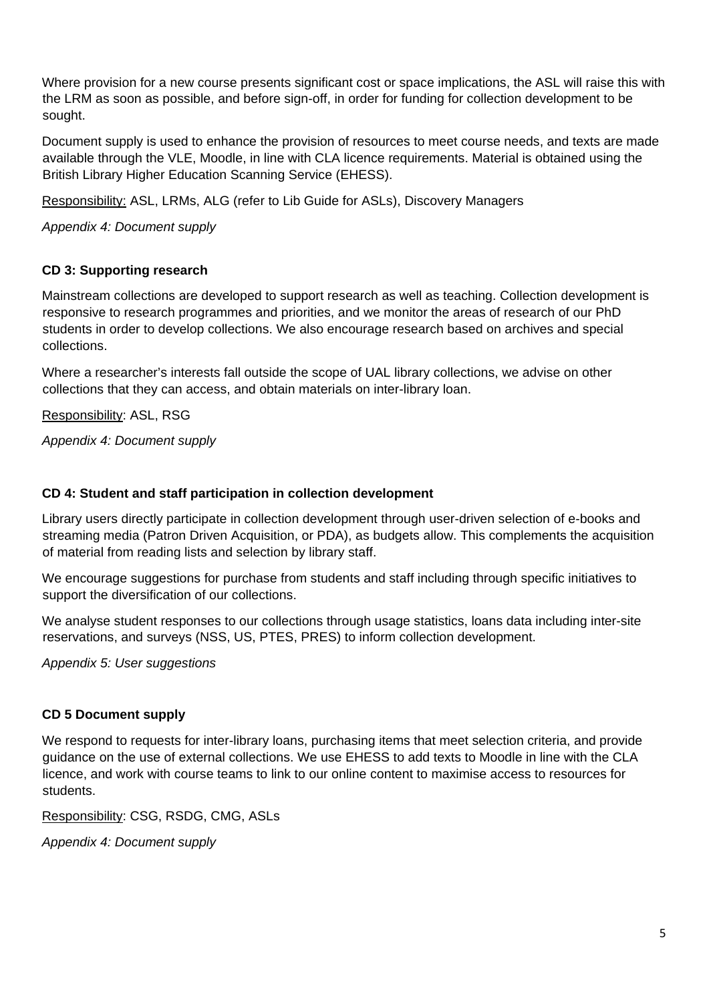Where provision for a new course presents significant cost or space implications, the ASL will raise this with the LRM as soon as possible, and before sign-off, in order for funding for collection development to be sought.

Document supply is used to enhance the provision of resources to meet course needs, and texts are made available through the VLE, Moodle, in line with CLA licence requirements. Material is obtained using the British Library Higher Education Scanning Service (EHESS).

Responsibility: ASL, LRMs, ALG (refer to Lib Guide for ASLs), Discovery Managers

*Appendix 4: Document supply* 

#### **CD 3: Supporting research**

Mainstream collections are developed to support research as well as teaching. Collection development is responsive to research programmes and priorities, and we monitor the areas of research of our PhD students in order to develop collections. We also encourage research based on archives and special collections.

Where a researcher's interests fall outside the scope of UAL library collections, we advise on other collections that they can access, and obtain materials on inter-library loan.

Responsibility: ASL, RSG

*Appendix 4: Document supply* 

#### **CD 4: Student and staff participation in collection development**

Library users directly participate in collection development through user-driven selection of e-books and streaming media (Patron Driven Acquisition, or PDA), as budgets allow. This complements the acquisition of material from reading lists and selection by library staff.

We encourage suggestions for purchase from students and staff including through specific initiatives to support the diversification of our collections.

We analyse student responses to our collections through usage statistics, loans data including inter-site reservations, and surveys (NSS, US, PTES, PRES) to inform collection development.

*Appendix 5: User suggestions* 

#### **CD 5 Document supply**

We respond to requests for inter-library loans, purchasing items that meet selection criteria, and provide guidance on the use of external collections. We use EHESS to add texts to Moodle in line with the CLA licence, and work with course teams to link to our online content to maximise access to resources for students.

Responsibility: CSG, RSDG, CMG, ASLs

*Appendix 4: Document supply*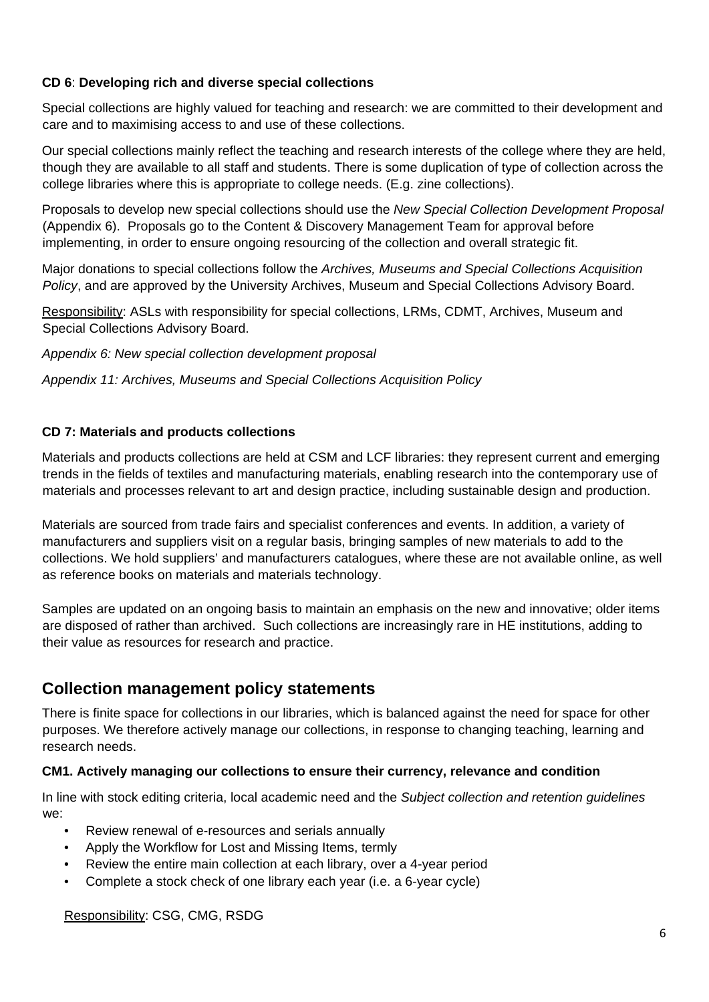### **CD 6**: **Developing rich and diverse special collections**

Special collections are highly valued for teaching and research: we are committed to their development and care and to maximising access to and use of these collections.

Our special collections mainly reflect the teaching and research interests of the college where they are held, though they are available to all staff and students. There is some duplication of type of collection across the college libraries where this is appropriate to college needs. (E.g. zine collections).

Proposals to develop new special collections should use the *New Special Collection Development Proposal* (Appendix 6). Proposals go to the Content & Discovery Management Team for approval before implementing, in order to ensure ongoing resourcing of the collection and overall strategic fit.

Major donations to special collections follow the *Archives, Museums and Special Collections Acquisition Policy*, and are approved by the University Archives, Museum and Special Collections Advisory Board.

Responsibility: ASLs with responsibility for special collections, LRMs, CDMT, Archives, Museum and Special Collections Advisory Board.

*Appendix 6: New special collection development proposal* 

*Appendix 11: Archives, Museums and Special Collections Acquisition Policy* 

#### **CD 7: Materials and products collections**

Materials and products collections are held at CSM and LCF libraries: they represent current and emerging trends in the fields of textiles and manufacturing materials, enabling research into the contemporary use of materials and processes relevant to art and design practice, including sustainable design and production.

Materials are sourced from trade fairs and specialist conferences and events. In addition, a variety of manufacturers and suppliers visit on a regular basis, bringing samples of new materials to add to the collections. We hold suppliers' and manufacturers catalogues, where these are not available online, as well as reference books on materials and materials technology.

Samples are updated on an ongoing basis to maintain an emphasis on the new and innovative; older items are disposed of rather than archived. Such collections are increasingly rare in HE institutions, adding to their value as resources for research and practice.

# **Collection management policy statements**

There is finite space for collections in our libraries, which is balanced against the need for space for other purposes. We therefore actively manage our collections, in response to changing teaching, learning and research needs.

#### **CM1. Actively managing our collections to ensure their currency, relevance and condition**

In line with stock editing criteria, local academic need and the *Subject collection and retention guidelines* we:

- Review renewal of e-resources and serials annually
- Apply the Workflow for Lost and Missing Items, termly
- Review the entire main collection at each library, over a 4-year period
- Complete a stock check of one library each year (i.e. a 6-year cycle)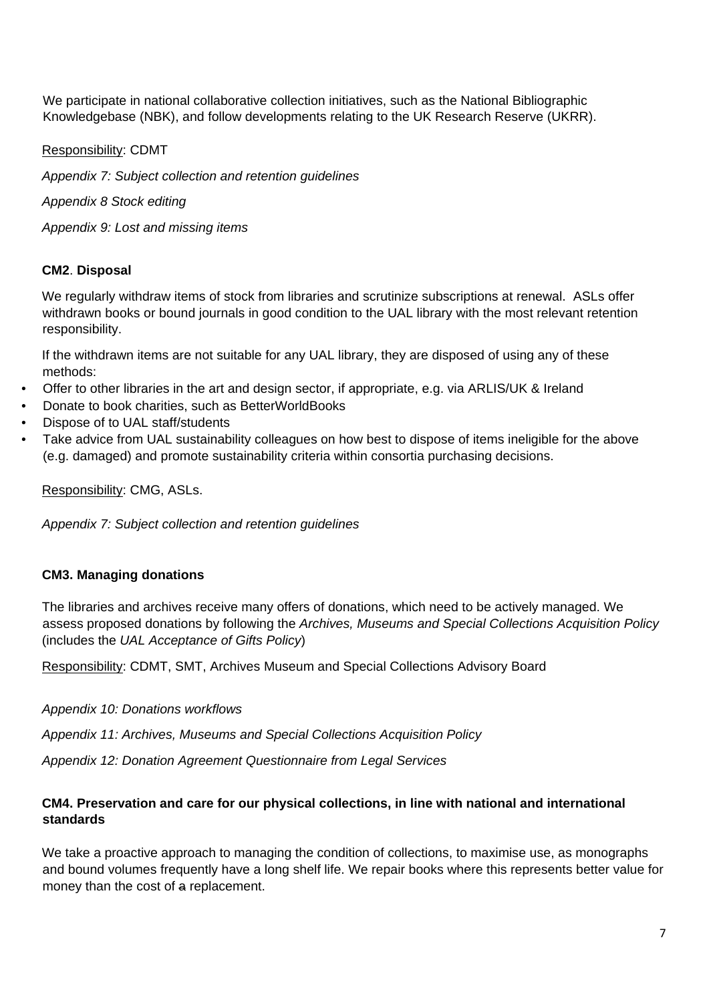We participate in national collaborative collection initiatives, such as the National Bibliographic Knowledgebase (NBK), and follow developments relating to the UK Research Reserve (UKRR).

Responsibility: CDMT

*Appendix 7: Subject collection and retention guidelines* 

*Appendix 8 Stock editing* 

*Appendix 9: Lost and missing items* 

#### **CM2**. **Disposal**

We regularly withdraw items of stock from libraries and scrutinize subscriptions at renewal. ASLs offer withdrawn books or bound journals in good condition to the UAL library with the most relevant retention responsibility.

If the withdrawn items are not suitable for any UAL library, they are disposed of using any of these methods:

- Offer to other libraries in the art and design sector, if appropriate, e.g. via ARLIS/UK & Ireland
- Donate to book charities, such as BetterWorldBooks
- Dispose of to UAL staff/students
- Take advice from UAL sustainability colleagues on how best to dispose of items ineligible for the above (e.g. damaged) and promote sustainability criteria within consortia purchasing decisions.

Responsibility: CMG, ASLs.

*Appendix 7: Subject collection and retention guidelines* 

#### **CM3. Managing donations**

The libraries and archives receive many offers of donations, which need to be actively managed. We assess proposed donations by following the *Archives, Museums and Special Collections Acquisition Policy* (includes the *UAL Acceptance of Gifts Policy*)

Responsibility: CDMT, SMT, Archives Museum and Special Collections Advisory Board

*Appendix 10: Donations workflows* 

*Appendix 11: Archives, Museums and Special Collections Acquisition Policy* 

*Appendix 12: Donation Agreement Questionnaire from Legal Services* 

#### **CM4. Preservation and care for our physical collections, in line with national and international standards**

We take a proactive approach to managing the condition of collections, to maximise use, as monographs and bound volumes frequently have a long shelf life. We repair books where this represents better value for money than the cost of a replacement.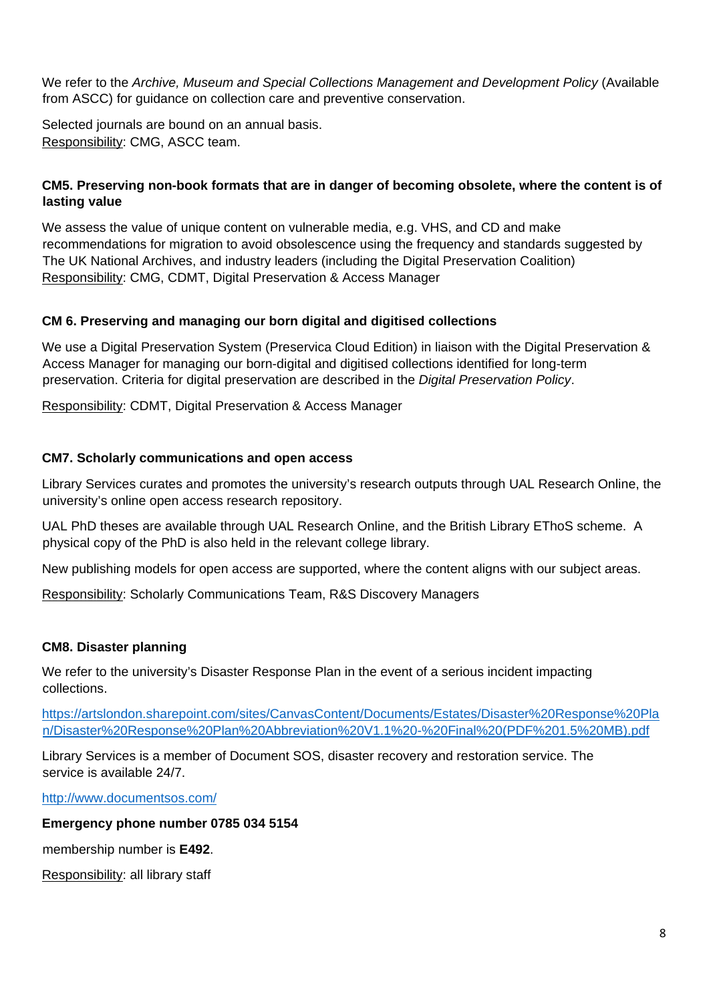We refer to the *Archive, Museum and Special Collections Management and Development Policy* (Available from ASCC) for guidance on collection care and preventive conservation.

Selected journals are bound on an annual basis. Responsibility: CMG, ASCC team.

## **CM5. Preserving non-book formats that are in danger of becoming obsolete, where the content is of lasting value**

We assess the value of unique content on vulnerable media, e.g. VHS, and CD and make recommendations for migration to avoid obsolescence using the frequency and standards suggested by The UK National Archives, and industry leaders (including the Digital Preservation Coalition) Responsibility: CMG, CDMT, Digital Preservation & Access Manager

## **CM 6. Preserving and managing our born digital and digitised collections**

We use a Digital Preservation System (Preservica Cloud Edition) in liaison with the Digital Preservation & Access Manager for managing our born-digital and digitised collections identified for long-term preservation. Criteria for digital preservation are described in the *Digital Preservation Policy*.

Responsibility: CDMT, Digital Preservation & Access Manager

## **CM7. Scholarly communications and open access**

Library Services curates and promotes the university's research outputs through UAL Research Online, the university's online open access research repository.

UAL PhD theses are available through UAL Research Online, and the British Library EThoS scheme. A physical copy of the PhD is also held in the relevant college library.

New publishing models for open access are supported, where the content aligns with our subject areas.

Responsibility: Scholarly Communications Team, R&S Discovery Managers

#### **CM8. Disaster planning**

We refer to the university's Disaster Response Plan in the event of a serious incident impacting collections.

[https://artslondon.sharepoint.com/sites/CanvasContent/Documents/Estates/Disaster%20Response%20Pla](https://artslondon.sharepoint.com/sites/CanvasContent/Documents/Estates/Disaster%20Response%20Plan/Disaster%20Response%20Plan%20Abbreviation%20V1.1%20-%20Final%20(PDF%201.5%20MB).pdf) [n/Disaster%20Response%20Plan%20Abbreviation%20V1.1%20-%20Final%20\(PDF%201.5%20MB\).pdf](https://artslondon.sharepoint.com/sites/CanvasContent/Documents/Estates/Disaster%20Response%20Plan/Disaster%20Response%20Plan%20Abbreviation%20V1.1%20-%20Final%20(PDF%201.5%20MB).pdf)

Library Services is a member of Document SOS, disaster recovery and restoration service. The service is available 24/7.

<http://www.documentsos.com/>

#### **Emergency phone number 0785 034 5154**

membership number is **E492**.

Responsibility: all library staff